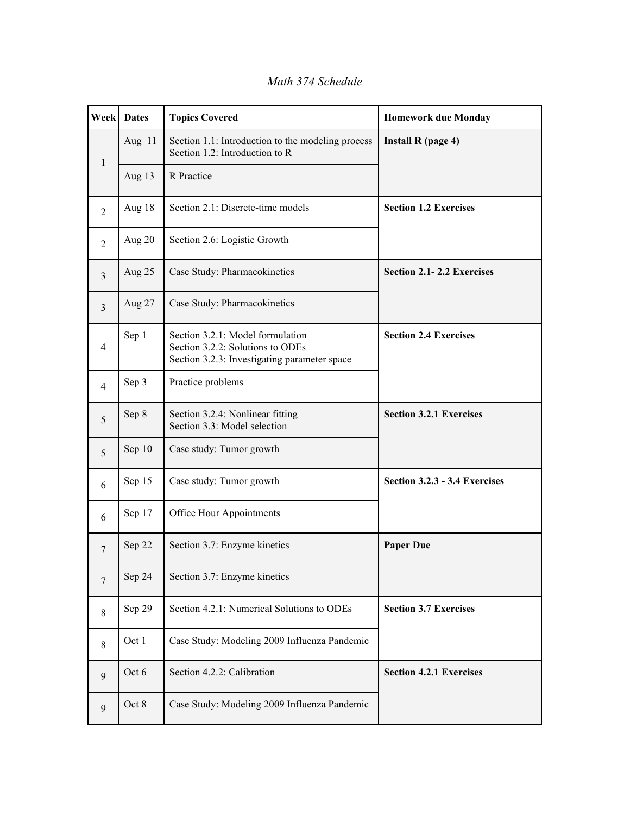*Math 374 Schedule*

| Week           | <b>Dates</b> | <b>Topics Covered</b>                                                                                                | <b>Homework due Monday</b>     |
|----------------|--------------|----------------------------------------------------------------------------------------------------------------------|--------------------------------|
| $\mathbf{1}$   | Aug 11       | Section 1.1: Introduction to the modeling process<br>Section 1.2: Introduction to R                                  | Install R (page 4)             |
|                | Aug 13       | R Practice                                                                                                           |                                |
| 2              | Aug 18       | Section 2.1: Discrete-time models                                                                                    | <b>Section 1.2 Exercises</b>   |
| 2              | Aug 20       | Section 2.6: Logistic Growth                                                                                         |                                |
| 3              | Aug 25       | Case Study: Pharmacokinetics                                                                                         | Section 2.1-2.2 Exercises      |
| 3              | Aug 27       | Case Study: Pharmacokinetics                                                                                         |                                |
| $\overline{4}$ | Sep 1        | Section 3.2.1: Model formulation<br>Section 3.2.2: Solutions to ODEs<br>Section 3.2.3: Investigating parameter space | <b>Section 2.4 Exercises</b>   |
| $\overline{4}$ | Sep 3        | Practice problems                                                                                                    |                                |
| 5              | Sep 8        | Section 3.2.4: Nonlinear fitting<br>Section 3.3: Model selection                                                     | <b>Section 3.2.1 Exercises</b> |
| 5              | Sep 10       | Case study: Tumor growth                                                                                             |                                |
| 6              | Sep 15       | Case study: Tumor growth                                                                                             | Section 3.2.3 - 3.4 Exercises  |
| 6              | Sep 17       | Office Hour Appointments                                                                                             |                                |
| 7              | Sep 22       | Section 3.7: Enzyme kinetics                                                                                         | <b>Paper Due</b>               |
| $\tau$         | Sep 24       | Section 3.7: Enzyme kinetics                                                                                         |                                |
| 8              | Sep 29       | Section 4.2.1: Numerical Solutions to ODEs                                                                           | <b>Section 3.7 Exercises</b>   |
| 8              | Oct 1        | Case Study: Modeling 2009 Influenza Pandemic                                                                         |                                |
| 9              | Oct 6        | Section 4.2.2: Calibration                                                                                           | <b>Section 4.2.1 Exercises</b> |
| 9              | Oct 8        | Case Study: Modeling 2009 Influenza Pandemic                                                                         |                                |